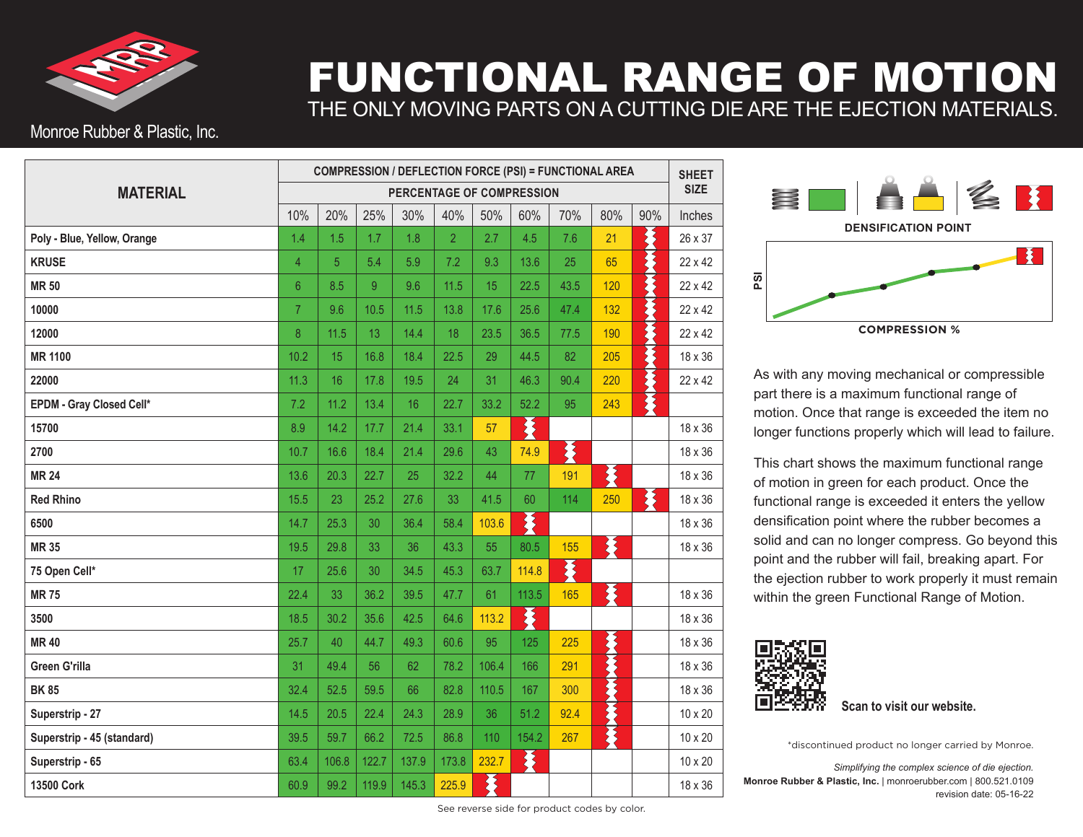

## FUNCTIONAL RANGE OF MOTION THE ONLY MOVING PARTS ON A CUTTING DIE ARE THE EJECTION MATERIALS.

## Monroe Rubber & Plastic, Inc.

|                             | <b>COMPRESSION / DEFLECTION FORCE (PSI) = FUNCTIONAL AREA</b> |       |       |       |                |       |       |      |     | <b>SHEET</b><br><b>SIZE</b> |         |
|-----------------------------|---------------------------------------------------------------|-------|-------|-------|----------------|-------|-------|------|-----|-----------------------------|---------|
| <b>MATERIAL</b>             | PERCENTAGE OF COMPRESSION                                     |       |       |       |                |       |       |      |     |                             |         |
|                             | 10%                                                           | 20%   | 25%   | 30%   | 40%            | 50%   | 60%   | 70%  | 80% | 90%                         | Inches  |
| Poly - Blue, Yellow, Orange | 1.4                                                           | 1.5   | 1.7   | 1.8   | $\overline{2}$ | 2.7   | 4.5   | 7.6  | 21  | ⋛                           | 26 x 37 |
| <b>KRUSE</b>                | $\overline{4}$                                                | 5     | 5.4   | 5.9   | 7.2            | 9.3   | 13.6  | 25   | 65  |                             | 22 x 42 |
| <b>MR 50</b>                | $6\phantom{1}6$                                               | 8.5   | 9     | 9.6   | 11.5           | 15    | 22.5  | 43.5 | 120 |                             | 22 x 42 |
| 10000                       | $\overline{7}$                                                | 9.6   | 10.5  | 11.5  | 13.8           | 17.6  | 25.6  | 47.4 | 132 |                             | 22 x 42 |
| 12000                       | 8                                                             | 11.5  | 13    | 14.4  | 18             | 23.5  | 36.5  | 77.5 | 190 |                             | 22 x 42 |
| <b>MR 1100</b>              | 10.2                                                          | 15    | 16.8  | 18.4  | 22.5           | 29    | 44.5  | 82   | 205 |                             | 18 x 36 |
| 22000                       | 11.3                                                          | 16    | 17.8  | 19.5  | 24             | 31    | 46.3  | 90.4 | 220 |                             | 22 x 42 |
| EPDM - Gray Closed Cell*    | 7.2                                                           | 11.2  | 13.4  | 16    | 22.7           | 33.2  | 52.2  | 95   | 243 | \$                          |         |
| 15700                       | 8.9                                                           | 14.2  | 17.7  | 21.4  | 33.1           | 57    | 茎     |      |     |                             | 18 x 36 |
| 2700                        | 10.7                                                          | 16.6  | 18.4  | 21.4  | 29.6           | 43    | 74.9  | 爻    |     |                             | 18 x 36 |
| <b>MR 24</b>                | 13.6                                                          | 20.3  | 22.7  | 25    | 32.2           | 44    | 77    | 191  | 秦   |                             | 18 x 36 |
| <b>Red Rhino</b>            | 15.5                                                          | 23    | 25.2  | 27.6  | 33             | 41.5  | 60    | 114  | 250 | 苳                           | 18 x 36 |
| 6500                        | 14.7                                                          | 25.3  | 30    | 36.4  | 58.4           | 103.6 | 爻     |      |     |                             | 18 x 36 |
| <b>MR 35</b>                | 19.5                                                          | 29.8  | 33    | 36    | 43.3           | 55    | 80.5  | 155  | 秦   |                             | 18 x 36 |
| 75 Open Cell*               | 17                                                            | 25.6  | 30    | 34.5  | 45.3           | 63.7  | 114.8 | 案    |     |                             |         |
| <b>MR75</b>                 | 22.4                                                          | 33    | 36.2  | 39.5  | 47.7           | 61    | 113.5 | 165  | 案   |                             | 18 x 36 |
| 3500                        | 18.5                                                          | 30.2  | 35.6  | 42.5  | 64.6           | 113.2 | X     |      |     |                             | 18 x 36 |
| <b>MR40</b>                 | 25.7                                                          | 40    | 44.7  | 49.3  | 60.6           | 95    | 125   | 225  | 美女人 |                             | 18 x 36 |
| <b>Green G'rilla</b>        | 31                                                            | 49.4  | 56    | 62    | 78.2           | 106.4 | 166   | 291  |     |                             | 18 x 36 |
| <b>BK85</b>                 | 32.4                                                          | 52.5  | 59.5  | 66    | 82.8           | 110.5 | 167   | 300  |     |                             | 18 x 36 |
| Superstrip - 27             | 14.5                                                          | 20.5  | 22.4  | 24.3  | 28.9           | 36    | 51.2  | 92.4 |     |                             | 10 x 20 |
| Superstrip - 45 (standard)  | 39.5                                                          | 59.7  | 66.2  | 72.5  | 86.8           | 110   | 154.2 | 267  | そく  |                             | 10 x 20 |
| Superstrip - 65             | 63.4                                                          | 106.8 | 122.7 | 137.9 | 173.8          | 232.7 | 爻     |      |     |                             | 10 x 20 |
| 13500 Cork                  | 60.9                                                          | 99.2  | 119.9 | 145.3 | 225.9          | 苳     |       |      |     |                             | 18 x 36 |



As with any moving mechanical or compressible part there is a maximum functional range of motion. Once that range is exceeded the item no longer functions properly which will lead to failure.

This chart shows the maximum functional range of motion in green for each product. Once the functional range is exceeded it enters the yellow densification point where the rubber becomes a solid and can no longer compress. Go beyond this point and the rubber will fail, breaking apart. For the ejection rubber to work properly it must remain within the green Functional Range of Motion.



**Scan to visit our website.**

\*discontinued product no longer carried by Monroe.

*Simplifying the complex science of die ejection.* **Monroe Rubber & Plastic, Inc.** | monroerubber.com | 800.521.0109 revision date: 05-16-22